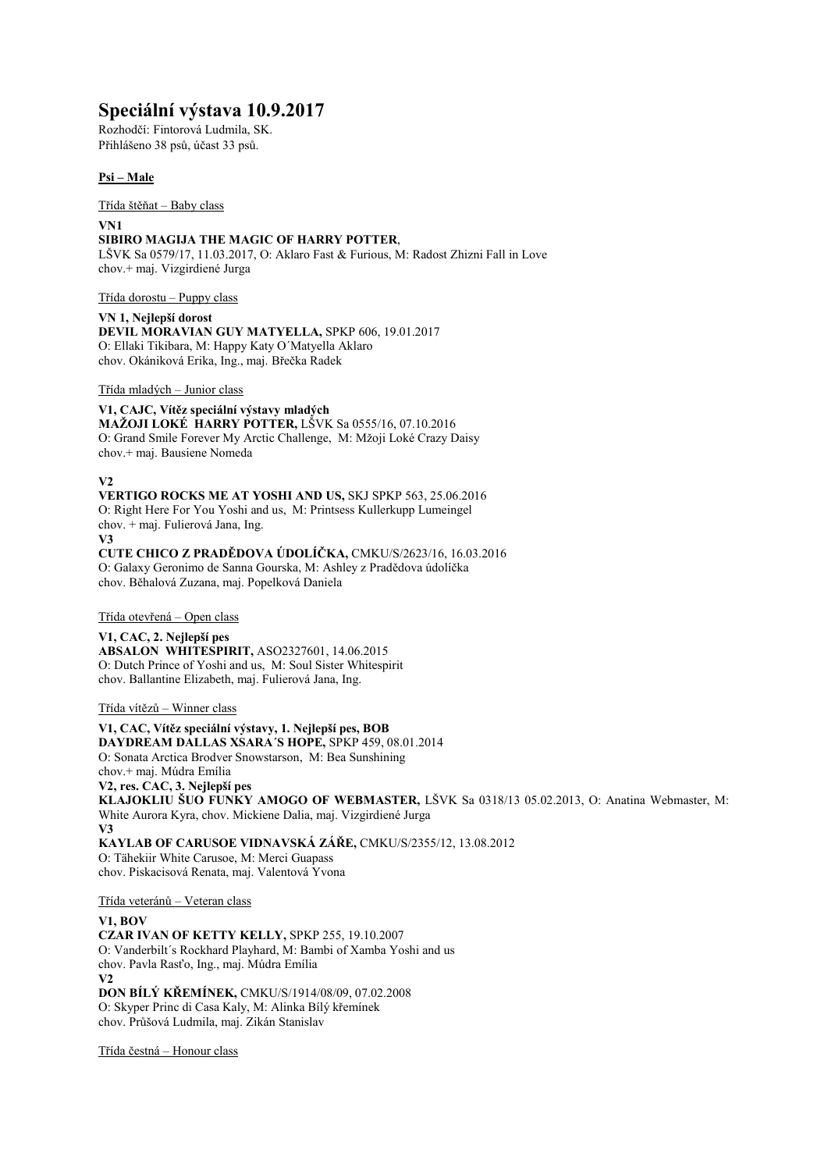# **Speciální výstava 10.9.2017**

Rozhodčí: Fintorová Ludmila, SK. Přihlášeno 38 psů, účast 33 psů.

## **Psi – Male**

Třída štěňat – Baby class

#### **VN1 SIBIRO MAGIJA THE MAGIC OF HARRY POTTER**,

LŠVK Sa 0579/17, 11.03.2017, O: Aklaro Fast & Furious, M: Radost Zhizni Fall in Love chov.+ maj. Vizgirdiené Jurga

Třída dorostu – Puppy class

**VN 1, Nejlepší dorost DEVIL MORAVIAN GUY MATYELLA,** SPKP 606, 19.01.2017 O: Ellaki Tikibara, M: Happy Katy O´Matyella Aklaro chov. Okániková Erika, Ing., maj. Břečka Radek

Třída mladých – Junior class

**V1, CAJC, Vítěz speciální výstavy mladých MAŽOJI LOKÉ HARRY POTTER,** LŠVK Sa 0555/16, 07.10.2016 O: Grand Smile Forever My Arctic Challenge, M: Mžoji Loké Crazy Daisy chov.+ maj. Bausiene Nomeda

**V2**

**VERTIGO ROCKS ME AT YOSHI AND US,** SKJ SPKP 563, 25.06.2016 O: Right Here For You Yoshi and us, M: Printsess Kullerkupp Lumeingel chov. + maj. Fulierová Jana, Ing. **V3**

**CUTE CHICO Z PRADĚDOVA ÚDOLÍČKA,** CMKU/S/2623/16, 16.03.2016 O: Galaxy Geronimo de Sanna Gourska, M: Ashley z Pradědova údolíčka chov. Běhalová Zuzana, maj. Popelková Daniela

Třída otevřená – Open class

**V1, CAC, 2. Nejlepší pes ABSALON WHITESPIRIT,** ASO2327601, 14.06.2015 O: Dutch Prince of Yoshi and us, M: Soul Sister Whitespirit chov. Ballantine Elizabeth, maj. Fulierová Jana, Ing.

Třída vítězů – Winner class

**V1, CAC, Vítěz speciální výstavy, 1. Nejlepší pes, BOB DAYDREAM DALLAS XSARA´S HOPE,** SPKP 459, 08.01.2014 O: Sonata Arctica Brodver Snowstarson, M: Bea Sunshining chov.+ maj. Múdra Emília **V2, res. CAC, 3. Nejlepší pes KLAJOKLIU ŠUO FUNKY AMOGO OF WEBMASTER,** LŠVK Sa 0318/13 05.02.2013, O: Anatina Webmaster, M: White Aurora Kyra, chov. Mickiene Dalia, maj. Vizgirdiené Jurga **V3 KAYLAB OF CARUSOE VIDNAVSKÁ ZÁŘE,** CMKU/S/2355/12, 13.08.2012 O: Tähekiir White Carusoe, M: Merci Guapass chov. Piskacisová Renata, maj. Valentová Yvona

Třída veteránů – Veteran class

## **V1, BOV**

**CZAR IVAN OF KETTY KELLY,** SPKP 255, 19.10.2007 O: Vanderbilt´s Rockhard Playhard, M: Bambi of Xamba Yoshi and us chov. Pavla Rasťo, Ing., maj. Múdra Emília **V2 DON BÍLÝ KŘEMÍNEK,** CMKU/S/1914/08/09, 07.02.2008 O: Skyper Princ di Casa Kaly, M: Alinka Bílý křemínek chov. Průšová Ludmila, maj. Zikán Stanislav

Třída čestná – Honour class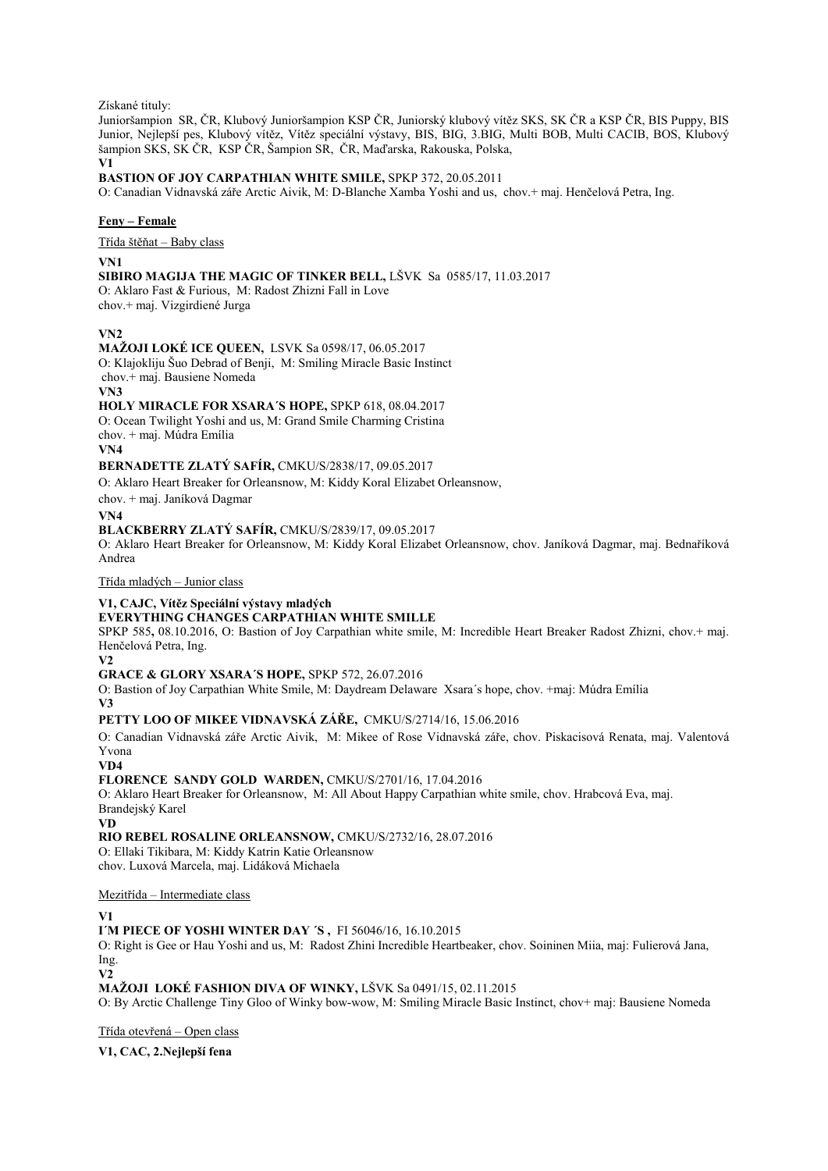Získané tituly:

Junioršampion SR, ČR, Klubový Junioršampion KSP ČR, Juniorský klubový vítěz SKS, SK ČR a KSP ČR, BIS Puppy, BIS Junior, Nejlepší pes, Klubový vítěz, Vítěz speciální výstavy, BIS, BIG, 3.BIG, Multi BOB, Multi CACIB, BOS, Klubový šampion SKS, SK ČR, KSP ČR, Šampion SR, ČR, Maďarska, Rakouska, Polska,

**V1** 

**BASTION OF JOY CARPATHIAN WHITE SMILE,** SPKP 372, 20.05.2011

O: Canadian Vidnavská záře Arctic Aivik, M: D-Blanche Xamba Yoshi and us, chov.+ maj. Henčelová Petra, Ing.

## **Feny – Female**

Třída štěňat – Baby class

#### **VN1**

**SIBIRO MAGIJA THE MAGIC OF TINKER BELL,** LŠVK Sa 0585/17, 11.03.2017

O: Aklaro Fast & Furious, M: Radost Zhizni Fall in Love chov.+ maj. Vizgirdiené Jurga

**VN2**

## **MAŽOJI LOKÉ ICE QUEEN,** LSVK Sa 0598/17, 06.05.2017

O: Klajokliju Šuo Debrad of Benji, M: Smiling Miracle Basic Instinct chov.+ maj. Bausiene Nomeda

**VN3**

## **HOLY MIRACLE FOR XSARA´S HOPE,** SPKP 618, 08.04.2017

O: Ocean Twilight Yoshi and us, M: Grand Smile Charming Cristina chov. + maj. Múdra Emília

**VN4**

**BERNADETTE ZLATÝ SAFÍR,** CMKU/S/2838/17, 09.05.2017

O: Aklaro Heart Breaker for Orleansnow, M: Kiddy Koral Elizabet Orleansnow,

chov. + maj. Janíková Dagmar

**VN4**

#### **BLACKBERRY ZLATÝ SAFÍR,** CMKU/S/2839/17, 09.05.2017

O: Aklaro Heart Breaker for Orleansnow, M: Kiddy Koral Elizabet Orleansnow, chov. Janíková Dagmar, maj. Bednaříková Andrea

Třída mladých – Junior class

## **V1, CAJC, Vítěz Speciální výstavy mladých**

## **EVERYTHING CHANGES CARPATHIAN WHITE SMILLE**

SPKP 585**,** 08.10.2016, O: Bastion of Joy Carpathian white smile, M: Incredible Heart Breaker Radost Zhizni, chov.+ maj. Henčelová Petra, Ing.

**V2**

## **GRACE & GLORY XSARA´S HOPE,** SPKP 572, 26.07.2016

O: Bastion of Joy Carpathian White Smile, M: Daydream Delaware Xsara´s hope, chov. +maj: Múdra Emília **V3** 

**PETTY LOO OF MIKEE VIDNAVSKÁ ZÁŘE,** CMKU/S/2714/16, 15.06.2016

O: Canadian Vidnavská záře Arctic Aivik, M: Mikee of Rose Vidnavská záře, chov. Piskacisová Renata, maj. Valentová Yvona

**VD4**

## **FLORENCE SANDY GOLD WARDEN,** CMKU/S/2701/16, 17.04.2016

O: Aklaro Heart Breaker for Orleansnow, M: All About Happy Carpathian white smile, chov. Hrabcová Eva, maj. Brandejský Karel

**VD**

**RIO REBEL ROSALINE ORLEANSNOW,** CMKU/S/2732/16, 28.07.2016

O: Ellaki Tikibara, M: Kiddy Katrin Katie Orleansnow chov. Luxová Marcela, maj. Lidáková Michaela

Mezitřída – Intermediate class

## **V1**

**I´M PIECE OF YOSHI WINTER DAY ´S ,** FI 56046/16, 16.10.2015

O: Right is Gee or Hau Yoshi and us, M: Radost Zhini Incredible Heartbeaker, chov. Soininen Miia, maj: Fulierová Jana, Ing.

**V2**

## **MAŽOJI LOKÉ FASHION DIVA OF WINKY,** LŠVK Sa 0491/15, 02.11.2015

O: By Arctic Challenge Tiny Gloo of Winky bow-wow, M: Smiling Miracle Basic Instinct, chov+ maj: Bausiene Nomeda

Třída otevřená – Open class

## **V1, CAC, 2.Nejlepší fena**